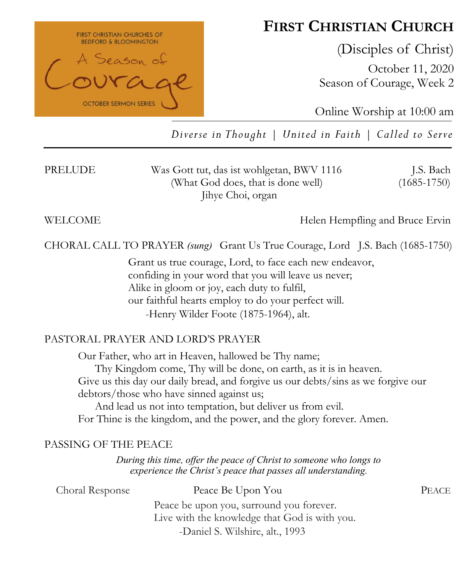

# **FIRST CHRISTIAN CHURCH**

(Disciples of Christ)

October 11, 2020 Season of Courage, Week 2

Online Worship at 10:00 am

*Diverse in Thought | United in Faith | Called to Serve*

| PRELUDE | Was Gott tut, das ist wohlgetan, BWV 1116 | J.S. Bach       |
|---------|-------------------------------------------|-----------------|
|         | (What God does, that is done well)        | $(1685 - 1750)$ |
|         | Jihye Choi, organ                         |                 |

WELCOME **Helen Hempfling and Bruce Ervin** 

CHORAL CALL TO PRAYER *(sung)* Grant Us True Courage, Lord J.S. Bach (1685-1750)

Grant us true courage, Lord, to face each new endeavor, confiding in your word that you will leave us never; Alike in gloom or joy, each duty to fulfil, our faithful hearts employ to do your perfect will. -Henry Wilder Foote (1875-1964), alt.

### PASTORAL PRAYER AND LORD'S PRAYER

Our Father, who art in Heaven, hallowed be Thy name; Thy Kingdom come, Thy will be done, on earth, as it is in heaven. Give us this day our daily bread, and forgive us our debts/sins as we forgive our debtors/those who have sinned against us; And lead us not into temptation, but deliver us from evil. For Thine is the kingdom, and the power, and the glory forever. Amen.

### PASSING OF THE PEACE

*During this time, offer the peace of Christ to someone who longs to experience the Christ's peace that passes all understanding.*

Choral Response Peace Be Upon You PEACE

Peace be upon you, surround you forever. Live with the knowledge that God is with you. -Daniel S. Wilshire, alt., 1993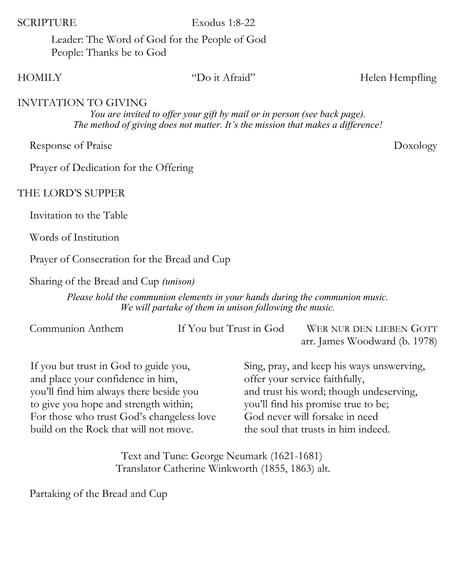#### SCRIPTURE Exodus 1:8-22

Leader: The Word of God for the People of God People: Thanks be to God

HOMILY "Do it Afraid" Helen Hempfling

#### INVITATION TO GIVING

*You are invited to offer your gift by mail or in person (see back page). The method of giving does not matter. It's the mission that makes a difference!*

Response of Praise Doxology

Prayer of Dedication for the Offering

### THE LORD'S SUPPER

Invitation to the Table

Words of Institution

Prayer of Consecration for the Bread and Cup

Sharing of the Bread and Cup *(unison)* 

*Please hold the communion elements in your hands during the communion music. We will partake of them in unison following the music.*

| Communion Anthem | If You but Trust in God | WER NUR DEN LIEBEN GOTT       |
|------------------|-------------------------|-------------------------------|
|                  |                         | arr. James Woodward (b. 1978) |

If you but trust in God to guide you, and place your confidence in him, you'll find him always there beside you to give you hope and strength within; For those who trust God's changeless love build on the Rock that will not move.

Sing, pray, and keep his ways unswerving, offer your service faithfully, and trust his word; though undeserving, you'll find his promise true to be; God never will forsake in need the soul that trusts in him indeed.

Text and Tune: George Neumark (1621-1681) Translator Catherine Winkworth (1855, 1863) alt.

Partaking of the Bread and Cup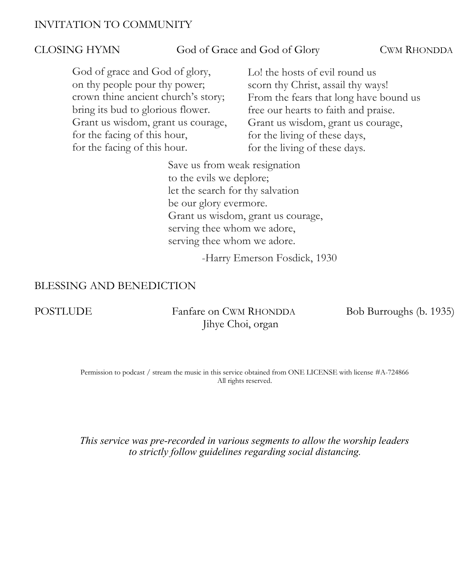#### INVITATION TO COMMUNITY

#### CLOSING HYMN God of Grace and God of Glory CWM RHONDDA

God of grace and God of glory, on thy people pour thy power; crown thine ancient church's story; bring its bud to glorious flower. Grant us wisdom, grant us courage, for the facing of this hour, for the facing of this hour.

Lo! the hosts of evil round us scorn thy Christ, assail thy ways! From the fears that long have bound us free our hearts to faith and praise. Grant us wisdom, grant us courage, for the living of these days, for the living of these days.

Save us from weak resignation to the evils we deplore; let the search for thy salvation be our glory evermore. Grant us wisdom, grant us courage, serving thee whom we adore, serving thee whom we adore.

-Harry Emerson Fosdick, 1930

#### BLESSING AND BENEDICTION

POSTLUDE Fanfare on CWM RHONDDA Bob Burroughs (b. 1935) Jihye Choi, organ

Permission to podcast / stream the music in this service obtained from ONE LICENSE with license #A-724866 All rights reserved.

*This service was pre-recorded in various segments to allow the worship leaders to strictly follow guidelines regarding social distancing.*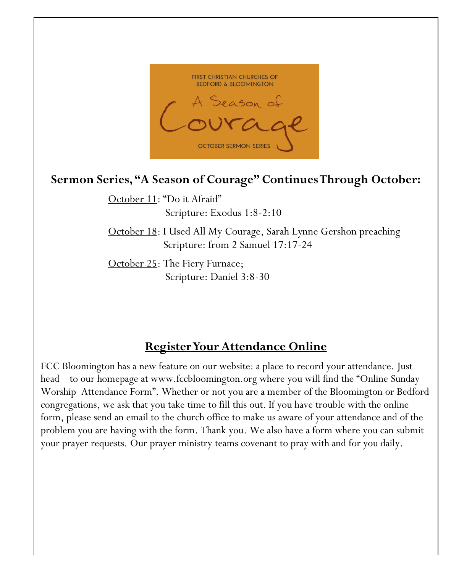

# **Sermon Series, "A Season of Courage" Continues Through October:**

October 11: "Do it Afraid" Scripture: Exodus 1:8-2:10

October 18: I Used All My Courage, Sarah Lynne Gershon preaching Scripture: from 2 Samuel 17:17-24

October 25: The Fiery Furnace; Scripture: Daniel 3:8-30

## **Register Your Attendance Online**

FCC Bloomington has a new feature on our website: a place to record your attendance. Just head to our homepage at www.fccbloomington.org where you will find the "Online Sunday Worship Attendance Form". Whether or not you are a member of the Bloomington or Bedford congregations, we ask that you take time to fill this out. If you have trouble with the online form, please send an email to the church office to make us aware of your attendance and of the problem you are having with the form. Thank you. We also have a form where you can submit your prayer requests. Our prayer ministry teams covenant to pray with and for you daily.